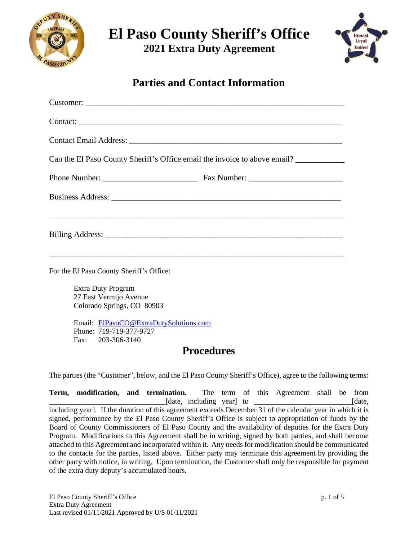

**El Paso County Sheriff's Office**

**2021 Extra Duty Agreement**



**Parties and Contact Information**

| Contact:                                                                  |  |  |
|---------------------------------------------------------------------------|--|--|
|                                                                           |  |  |
| Can the El Paso County Sheriff's Office email the invoice to above email? |  |  |
|                                                                           |  |  |
|                                                                           |  |  |
|                                                                           |  |  |

For the El Paso County Sheriff's Office:

Extra Duty Program 27 East Vermijo Avenue Colorado Springs, CO 80903

Email: [ElPasoCO@ExtraDutySolutions.com](mailto:ElPasoCO@ExtraDutySolutions.com) Phone: 719-719-377-9727 Fax: 203-306-3140

#### **Procedures**

The parties (the "Customer", below, and the El Paso County Sheriff's Office), agree to the following terms:

**Term, modification, and termination.** The term of this Agreement shall be from \_\_\_\_\_\_\_\_\_\_\_\_\_\_\_\_\_\_\_\_\_\_\_\_\_\_\_\_\_\_\_[date, including year] to \_\_\_\_\_\_\_\_\_\_\_\_\_\_\_\_\_\_\_\_\_\_\_\_\_\_[date, including year]. If the duration of this agreement exceeds December 31 of the calendar year in which it is signed, performance by the El Paso County Sheriff's Office is subject to appropriation of funds by the Board of County Commissioners of El Paso County and the availability of deputies for the Extra Duty Program. Modifications to this Agreement shall be in writing, signed by both parties, and shall become attached to this Agreement and incorporated within it. Any needs for modification should be communicated to the contacts for the parties, listed above. Either party may terminate this agreement by providing the other party with notice, in writing. Upon termination, the Customer shall only be responsible for payment of the extra duty deputy's accumulated hours.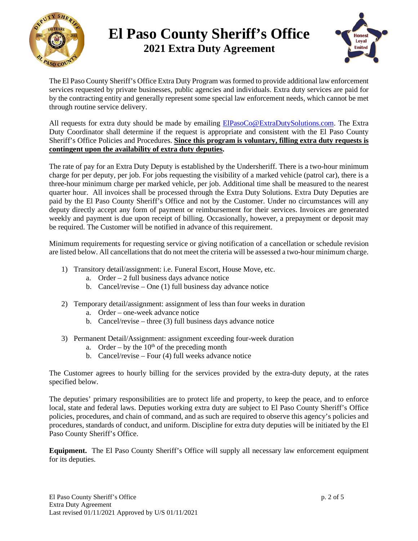

# **El Paso County Sheriff's Office 2021 Extra Duty Agreement**



The El Paso County Sheriff's Office Extra Duty Program was formed to provide additional law enforcement services requested by private businesses, public agencies and individuals. Extra duty services are paid for by the contracting entity and generally represent some special law enforcement needs, which cannot be met through routine service delivery.

All requests for extra duty should be made by emailing **ElPasoCo@ExtraDutySolutions.com**. The Extra Duty Coordinator shall determine if the request is appropriate and consistent with the El Paso County Sheriff's Office Policies and Procedures. **Since this program is voluntary, filling extra duty requests is contingent upon the availability of extra duty deputies.**

The rate of pay for an Extra Duty Deputy is established by the Undersheriff. There is a two-hour minimum charge for per deputy, per job. For jobs requesting the visibility of a marked vehicle (patrol car), there is a three-hour minimum charge per marked vehicle, per job. Additional time shall be measured to the nearest quarter hour. All invoices shall be processed through the Extra Duty Solutions. Extra Duty Deputies are paid by the El Paso County Sheriff's Office and not by the Customer. Under no circumstances will any deputy directly accept any form of payment or reimbursement for their services. Invoices are generated weekly and payment is due upon receipt of billing. Occasionally, however, a prepayment or deposit may be required. The Customer will be notified in advance of this requirement.

Minimum requirements for requesting service or giving notification of a cancellation or schedule revision are listed below. All cancellations that do not meet the criteria will be assessed a two-hour minimum charge.

- 1) Transitory detail/assignment: i.e. Funeral Escort, House Move, etc.
	- a. Order 2 full business days advance notice
	- b. Cancel/revise One (1) full business day advance notice
- 2) Temporary detail/assignment: assignment of less than four weeks in duration
	- a. Order one-week advance notice
	- b. Cancel/revise three (3) full business days advance notice
- 3) Permanent Detail/Assignment: assignment exceeding four-week duration
	- a. Order by the  $10<sup>th</sup>$  of the preceding month
	- b. Cancel/revise Four (4) full weeks advance notice

The Customer agrees to hourly billing for the services provided by the extra-duty deputy, at the rates specified below.

The deputies' primary responsibilities are to protect life and property, to keep the peace, and to enforce local, state and federal laws. Deputies working extra duty are subject to El Paso County Sheriff's Office policies, procedures, and chain of command, and as such are required to observe this agency's policies and procedures, standards of conduct, and uniform. Discipline for extra duty deputies will be initiated by the El Paso County Sheriff's Office.

**Equipment.** The El Paso County Sheriff's Office will supply all necessary law enforcement equipment for its deputies.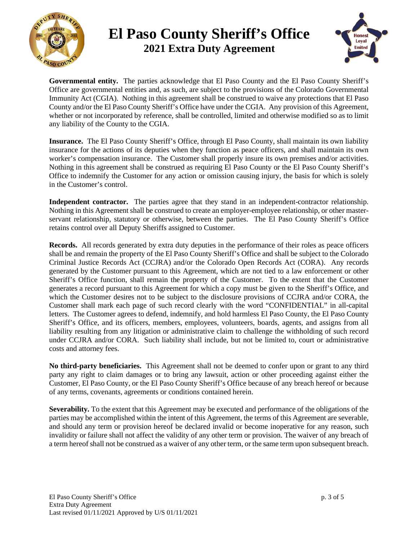

## **El Paso County Sheriff's Office 2021 Extra Duty Agreement**



**Governmental entity.** The parties acknowledge that El Paso County and the El Paso County Sheriff's Office are governmental entities and, as such, are subject to the provisions of the Colorado Governmental Immunity Act (CGIA). Nothing in this agreement shall be construed to waive any protections that El Paso County and/or the El Paso County Sheriff's Office have under the CGIA. Any provision of this Agreement, whether or not incorporated by reference, shall be controlled, limited and otherwise modified so as to limit any liability of the County to the CGIA.

**Insurance.** The El Paso County Sheriff's Office, through El Paso County, shall maintain its own liability insurance for the actions of its deputies when they function as peace officers, and shall maintain its own worker's compensation insurance. The Customer shall properly insure its own premises and/or activities. Nothing in this agreement shall be construed as requiring El Paso County or the El Paso County Sheriff's Office to indemnify the Customer for any action or omission causing injury, the basis for which is solely in the Customer's control.

**Independent contractor.** The parties agree that they stand in an independent-contractor relationship. Nothing in this Agreement shall be construed to create an employer-employee relationship, or other masterservant relationship, statutory or otherwise, between the parties. The El Paso County Sheriff's Office retains control over all Deputy Sheriffs assigned to Customer.

**Records.** All records generated by extra duty deputies in the performance of their roles as peace officers shall be and remain the property of the El Paso County Sheriff's Office and shall be subject to the Colorado Criminal Justice Records Act (CCJRA) and/or the Colorado Open Records Act (CORA). Any records generated by the Customer pursuant to this Agreement, which are not tied to a law enforcement or other Sheriff's Office function, shall remain the property of the Customer. To the extent that the Customer generates a record pursuant to this Agreement for which a copy must be given to the Sheriff's Office, and which the Customer desires not to be subject to the disclosure provisions of CCJRA and/or CORA, the Customer shall mark each page of such record clearly with the word "CONFIDENTIAL" in all-capital letters. The Customer agrees to defend, indemnify, and hold harmless El Paso County, the El Paso County Sheriff's Office, and its officers, members, employees, volunteers, boards, agents, and assigns from all liability resulting from any litigation or administrative claim to challenge the withholding of such record under CCJRA and/or CORA. Such liability shall include, but not be limited to, court or administrative costs and attorney fees.

**No third-party beneficiaries.** This Agreement shall not be deemed to confer upon or grant to any third party any right to claim damages or to bring any lawsuit, action or other proceeding against either the Customer, El Paso County, or the El Paso County Sheriff's Office because of any breach hereof or because of any terms, covenants, agreements or conditions contained herein.

**Severability.** To the extent that this Agreement may be executed and performance of the obligations of the parties may be accomplished within the intent of this Agreement, the terms of this Agreement are severable, and should any term or provision hereof be declared invalid or become inoperative for any reason, such invalidity or failure shall not affect the validity of any other term or provision. The waiver of any breach of a term hereof shall not be construed as a waiver of any other term, or the same term upon subsequent breach.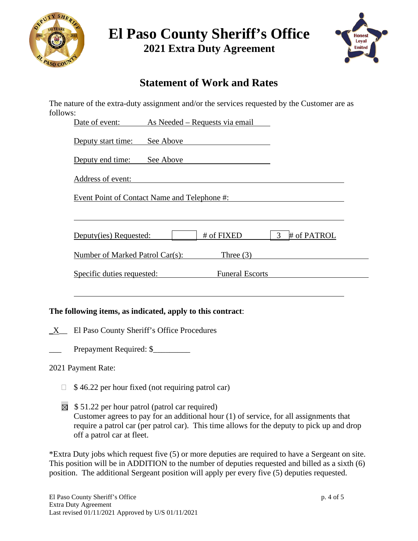

| <b>El Paso County Sheriff's Office</b> |  |
|----------------------------------------|--|
| <b>2021 Extra Duty Agreement</b>       |  |

**Honest** Loyal **United** 

### **Statement of Work and Rates**

The nature of the extra-duty assignment and/or the services requested by the Customer are as follows:

|              | As Needed – Requests via email<br>Date of event:                                                                                                                                                                                        |
|--------------|-----------------------------------------------------------------------------------------------------------------------------------------------------------------------------------------------------------------------------------------|
|              | See Above<br>Deputy start time:                                                                                                                                                                                                         |
|              | Deputy end time:<br>See Above 2008                                                                                                                                                                                                      |
|              | Address of event:<br><u> 1989 - Johann Harry Harry Harry Harry Harry Harry Harry Harry Harry Harry Harry Harry Harry Harry Harry Harry</u>                                                                                              |
|              | <u>Event Point of Contact Name and Telephone #:<br/> Event Point of Contact Name and Telephone #:</u>                                                                                                                                   |
|              |                                                                                                                                                                                                                                         |
|              | # of FIXED<br>$\mathfrak{Z}$<br># of PATROL<br>Deputy(ies) Requested:                                                                                                                                                                   |
|              | Three $(3)$<br>Number of Marked Patrol Car(s):                                                                                                                                                                                          |
|              | <u>Specific duties requested:</u> Funeral Escorts                                                                                                                                                                                       |
|              |                                                                                                                                                                                                                                         |
|              | The following items, as indicated, apply to this contract:                                                                                                                                                                              |
| $\mathbf{X}$ | El Paso County Sheriff's Office Procedures                                                                                                                                                                                              |
|              | Prepayment Required: \$                                                                                                                                                                                                                 |
|              | 2021 Payment Rate:                                                                                                                                                                                                                      |
| $\mathbf{L}$ | \$46.22 per hour fixed (not requiring patrol car)                                                                                                                                                                                       |
| $\boxtimes$  | \$51.22 per hour patrol (patrol car required)<br>Customer agrees to pay for an additional hour $(1)$ of service, for all assignments that<br>require a patrol car (per patrol car). This time allows for the deputy to pick up and drop |

\*Extra Duty jobs which request five (5) or more deputies are required to have a Sergeant on site. This position will be in ADDITION to the number of deputies requested and billed as a sixth (6) position. The additional Sergeant position will apply per every five (5) deputies requested.

off a patrol car at fleet.